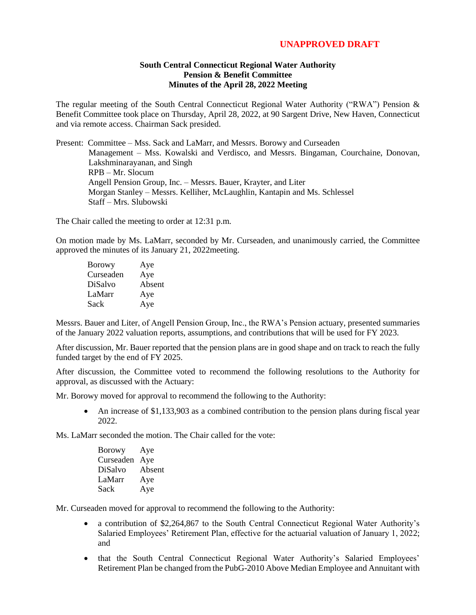## **UNAPPROVED DRAFT**

## **South Central Connecticut Regional Water Authority Pension & Benefit Committee Minutes of the April 28, 2022 Meeting**

The regular meeting of the South Central Connecticut Regional Water Authority ("RWA") Pension & Benefit Committee took place on Thursday, April 28, 2022, at 90 Sargent Drive, New Haven, Connecticut and via remote access. Chairman Sack presided.

Present: Committee – Mss. Sack and LaMarr, and Messrs. Borowy and Curseaden Management – Mss. Kowalski and Verdisco, and Messrs. Bingaman, Courchaine, Donovan, Lakshminarayanan, and Singh RPB – Mr. Slocum Angell Pension Group, Inc. – Messrs. Bauer, Krayter, and Liter Morgan Stanley – Messrs. Kelliher, McLaughlin, Kantapin and Ms. Schlessel Staff – Mrs. Slubowski

The Chair called the meeting to order at 12:31 p.m.

On motion made by Ms. LaMarr, seconded by Mr. Curseaden, and unanimously carried, the Committee approved the minutes of its January 21, 2022meeting.

| <b>Borowy</b> | Aye    |
|---------------|--------|
| Curseaden     | Aye    |
| DiSalvo       | Absent |
| LaMarr        | Aye    |
| Sack          | Aye    |

Messrs. Bauer and Liter, of Angell Pension Group, Inc., the RWA's Pension actuary, presented summaries of the January 2022 valuation reports, assumptions, and contributions that will be used for FY 2023.

After discussion, Mr. Bauer reported that the pension plans are in good shape and on track to reach the fully funded target by the end of FY 2025.

After discussion, the Committee voted to recommend the following resolutions to the Authority for approval, as discussed with the Actuary:

Mr. Borowy moved for approval to recommend the following to the Authority:

 An increase of \$1,133,903 as a combined contribution to the pension plans during fiscal year 2022.

Ms. LaMarr seconded the motion. The Chair called for the vote:

| <b>Borowy</b> | Aye    |
|---------------|--------|
| Curseaden     | Aye    |
| DiSalvo       | Absent |
| LaMarr        | Aye    |
| Sack          | Aye    |

Mr. Curseaden moved for approval to recommend the following to the Authority:

- a contribution of \$2,264,867 to the South Central Connecticut Regional Water Authority's Salaried Employees' Retirement Plan, effective for the actuarial valuation of January 1, 2022; and
- that the South Central Connecticut Regional Water Authority's Salaried Employees' Retirement Plan be changed from the PubG-2010 Above Median Employee and Annuitant with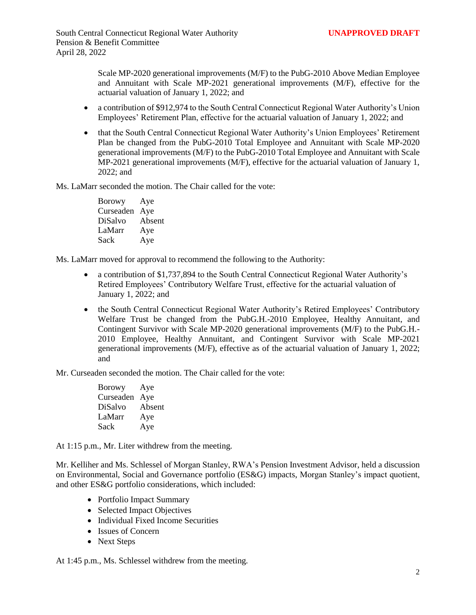Scale MP-2020 generational improvements (M/F) to the PubG-2010 Above Median Employee and Annuitant with Scale MP-2021 generational improvements (M/F), effective for the actuarial valuation of January 1, 2022; and

- a contribution of \$912,974 to the South Central Connecticut Regional Water Authority's Union Employees' Retirement Plan, effective for the actuarial valuation of January 1, 2022; and
- that the South Central Connecticut Regional Water Authority's Union Employees' Retirement Plan be changed from the PubG-2010 Total Employee and Annuitant with Scale MP-2020 generational improvements (M/F) to the PubG-2010 Total Employee and Annuitant with Scale MP-2021 generational improvements (M/F), effective for the actuarial valuation of January 1, 2022; and

Ms. LaMarr seconded the motion. The Chair called for the vote:

Borowy Aye Curseaden Aye DiSalvo Absent LaMarr Aye Sack Aye

Ms. LaMarr moved for approval to recommend the following to the Authority:

- a contribution of \$1,737,894 to the South Central Connecticut Regional Water Authority's Retired Employees' Contributory Welfare Trust, effective for the actuarial valuation of January 1, 2022; and
- the South Central Connecticut Regional Water Authority's Retired Employees' Contributory Welfare Trust be changed from the PubG.H.-2010 Employee, Healthy Annuitant, and Contingent Survivor with Scale MP-2020 generational improvements (M/F) to the PubG.H.- 2010 Employee, Healthy Annuitant, and Contingent Survivor with Scale MP-2021 generational improvements (M/F), effective as of the actuarial valuation of January 1, 2022; and

Mr. Curseaden seconded the motion. The Chair called for the vote:

Borowy Aye Curseaden Aye DiSalvo Absent LaMarr Aye Sack Aye

At 1:15 p.m., Mr. Liter withdrew from the meeting.

Mr. Kelliher and Ms. Schlessel of Morgan Stanley, RWA's Pension Investment Advisor, held a discussion on Environmental, Social and Governance portfolio (ES&G) impacts, Morgan Stanley's impact quotient, and other ES&G portfolio considerations, which included:

- Portfolio Impact Summary
- Selected Impact Objectives
- Individual Fixed Income Securities
- Issues of Concern
- Next Steps

At 1:45 p.m., Ms. Schlessel withdrew from the meeting.